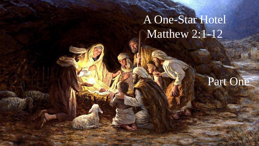# A One-Star Hotel Matthew 2:1-12

## Part One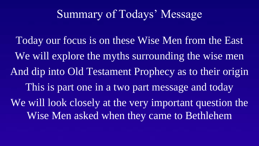## Summary of Todays' Message

Today our focus is on these Wise Men from the East We will explore the myths surrounding the wise men And dip into Old Testament Prophecy as to their origin This is part one in a two part message and today We will look closely at the very important question the Wise Men asked when they came to Bethlehem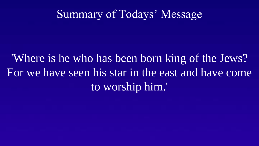## Summary of Todays' Message

'Where is he who has been born king of the Jews? For we have seen his star in the east and have come to worship him.'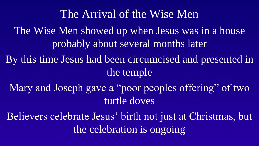The Wise Men showed up when Jesus was in a house probably about several months later By this time Jesus had been circumcised and presented in the temple Mary and Joseph gave a "poor peoples offering" of two turtle doves Believers celebrate Jesus' birth not just at Christmas, but the celebration is ongoing The Arrival of the Wise Men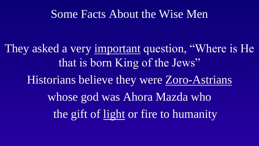#### Some Facts About the Wise Men

They asked a very important question, "Where is He that is born King of the Jews" Historians believe they were Zoro-Astrians whose god was Ahora Mazda who the gift of light or fire to humanity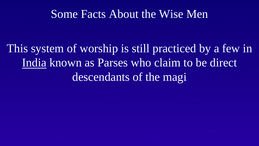#### Some Facts About the Wise Men

This system of worship is still practiced by a few in India known as Parses who claim to be direct descendants of the magi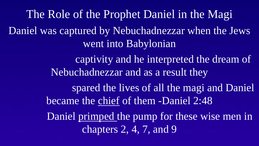Daniel was captured by Nebuchadnezzar when the Jews went into Babylonian captivity and he interpreted the dream of Nebuchadnezzar and as a result they spared the lives of all the magi and Daniel became the chief of them -Daniel 2:48 Daniel primped the pump for these wise men in chapters 2, 4, 7, and 9 The Role of the Prophet Daniel in the Magi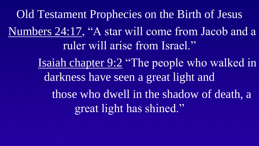. Numbers 24:17, "A star will come from Jacob and a ruler will arise from Israel." Isaiah chapter 9:2 "The people who walked in darkness have seen a great light and those who dwell in the shadow of death, a great light has shined." Old Testament Prophecies on the Birth of Jesus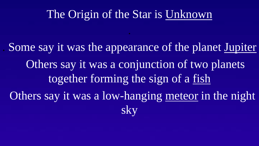## The Origin of the Star is Unknown

.

. Some say it was the appearance of the planet Jupiter Others say it was a conjunction of two planets together forming the sign of a fish Others say it was a low-hanging meteor in the night sky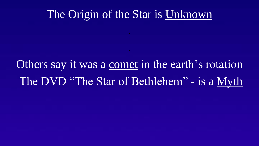#### The Origin of the Star is Unknown

.

.

Others say it was a comet in the earth's rotation The DVD "The Star of Bethlehem" - is a Myth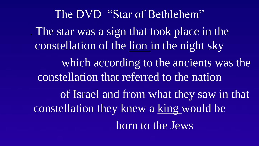. The star was a sign that took place in the constellation of the lion in the night sky which according to the ancients was the constellation that referred to the nation of Israel and from what they saw in that constellation they knew a king would be born to the Jews The DVD "Star of Bethlehem"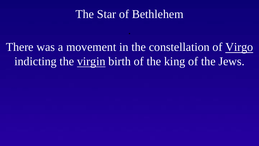## The Star of Bethlehem

.

There was a movement in the constellation of Virgo indicting the virgin birth of the king of the Jews.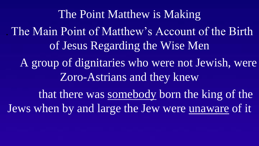. The Main Point of Matthew's Account of the Birth of Jesus Regarding the Wise Men A group of dignitaries who were not Jewish, were Zoro-Astrians and they knew that there was somebody born the king of the Jews when by and large the Jew were unaware of it The Point Matthew is Making